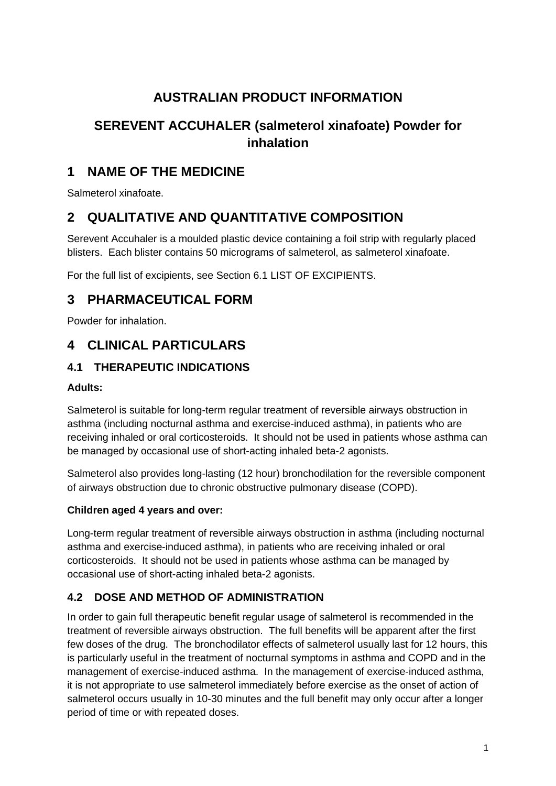# **AUSTRALIAN PRODUCT INFORMATION**

# **SEREVENT ACCUHALER (salmeterol xinafoate) Powder for inhalation**

# **1 NAME OF THE MEDICINE**

Salmeterol xinafoate.

# **2 QUALITATIVE AND QUANTITATIVE COMPOSITION**

Serevent Accuhaler is a moulded plastic device containing a foil strip with regularly placed blisters. Each blister contains 50 micrograms of salmeterol, as salmeterol xinafoate.

For the full list of excipients, see Section 6.1 LIST OF EXCIPIENTS.

# **3 PHARMACEUTICAL FORM**

Powder for inhalation.

# **4 CLINICAL PARTICULARS**

## **4.1 THERAPEUTIC INDICATIONS**

#### **Adults:**

Salmeterol is suitable for long-term regular treatment of reversible airways obstruction in asthma (including nocturnal asthma and exercise-induced asthma), in patients who are receiving inhaled or oral corticosteroids. It should not be used in patients whose asthma can be managed by occasional use of short-acting inhaled beta-2 agonists.

Salmeterol also provides long-lasting (12 hour) bronchodilation for the reversible component of airways obstruction due to chronic obstructive pulmonary disease (COPD).

#### **Children aged 4 years and over:**

Long-term regular treatment of reversible airways obstruction in asthma (including nocturnal asthma and exercise-induced asthma), in patients who are receiving inhaled or oral corticosteroids. It should not be used in patients whose asthma can be managed by occasional use of short-acting inhaled beta-2 agonists.

## **4.2 DOSE AND METHOD OF ADMINISTRATION**

In order to gain full therapeutic benefit regular usage of salmeterol is recommended in the treatment of reversible airways obstruction. The full benefits will be apparent after the first few doses of the drug. The bronchodilator effects of salmeterol usually last for 12 hours, this is particularly useful in the treatment of nocturnal symptoms in asthma and COPD and in the management of exercise-induced asthma. In the management of exercise-induced asthma, it is not appropriate to use salmeterol immediately before exercise as the onset of action of salmeterol occurs usually in 10-30 minutes and the full benefit may only occur after a longer period of time or with repeated doses.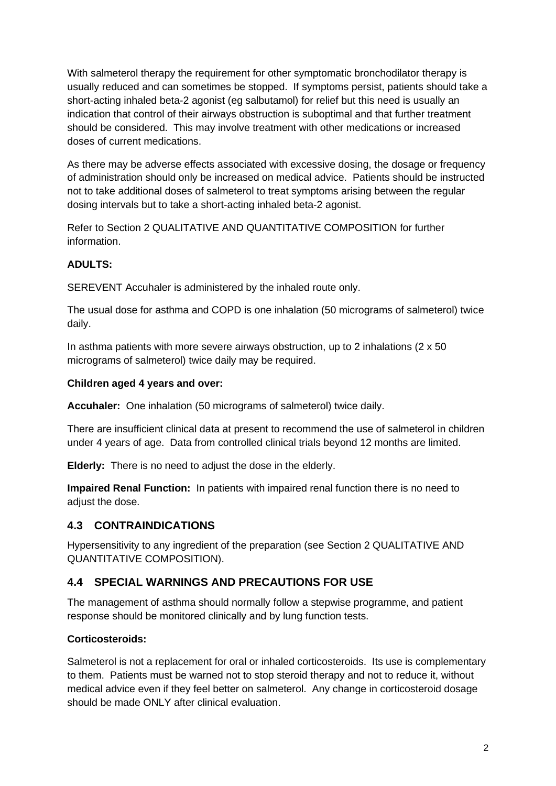With salmeterol therapy the requirement for other symptomatic bronchodilator therapy is usually reduced and can sometimes be stopped. If symptoms persist, patients should take a short-acting inhaled beta-2 agonist (eg salbutamol) for relief but this need is usually an indication that control of their airways obstruction is suboptimal and that further treatment should be considered. This may involve treatment with other medications or increased doses of current medications.

As there may be adverse effects associated with excessive dosing, the dosage or frequency of administration should only be increased on medical advice. Patients should be instructed not to take additional doses of salmeterol to treat symptoms arising between the regular dosing intervals but to take a short-acting inhaled beta-2 agonist.

Refer to Section 2 QUALITATIVE AND QUANTITATIVE COMPOSITION for further information.

### **ADULTS:**

SEREVENT Accuhaler is administered by the inhaled route only.

The usual dose for asthma and COPD is one inhalation (50 micrograms of salmeterol) twice daily.

In asthma patients with more severe airways obstruction, up to 2 inhalations  $(2 \times 50)$ micrograms of salmeterol) twice daily may be required.

#### **Children aged 4 years and over:**

**Accuhaler:** One inhalation (50 micrograms of salmeterol) twice daily.

There are insufficient clinical data at present to recommend the use of salmeterol in children under 4 years of age. Data from controlled clinical trials beyond 12 months are limited.

**Elderly:** There is no need to adjust the dose in the elderly.

**Impaired Renal Function:** In patients with impaired renal function there is no need to adiust the dose.

## **4.3 CONTRAINDICATIONS**

Hypersensitivity to any ingredient of the preparation (see Section 2 QUALITATIVE AND QUANTITATIVE COMPOSITION).

## **4.4 SPECIAL WARNINGS AND PRECAUTIONS FOR USE**

The management of asthma should normally follow a stepwise programme, and patient response should be monitored clinically and by lung function tests.

#### **Corticosteroids:**

Salmeterol is not a replacement for oral or inhaled corticosteroids. Its use is complementary to them. Patients must be warned not to stop steroid therapy and not to reduce it, without medical advice even if they feel better on salmeterol. Any change in corticosteroid dosage should be made ONLY after clinical evaluation.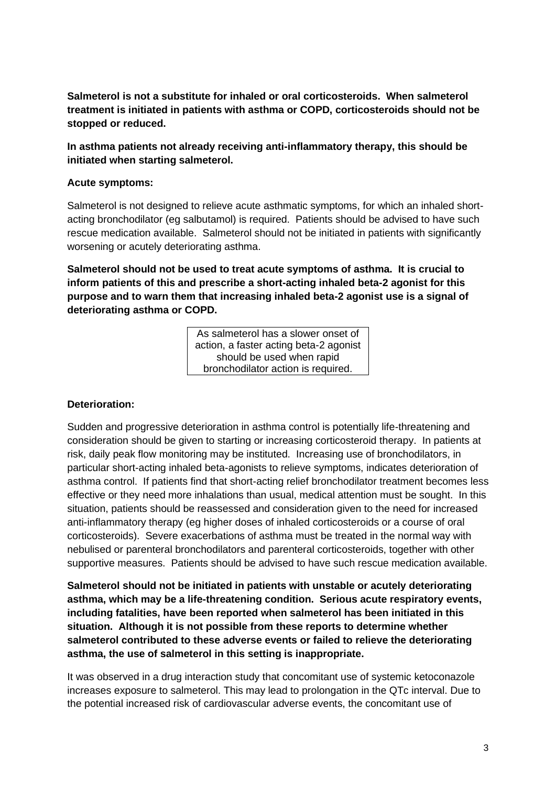**Salmeterol is not a substitute for inhaled or oral corticosteroids. When salmeterol treatment is initiated in patients with asthma or COPD, corticosteroids should not be stopped or reduced.**

**In asthma patients not already receiving anti-inflammatory therapy, this should be initiated when starting salmeterol.**

#### **Acute symptoms:**

Salmeterol is not designed to relieve acute asthmatic symptoms, for which an inhaled shortacting bronchodilator (eg salbutamol) is required. Patients should be advised to have such rescue medication available. Salmeterol should not be initiated in patients with significantly worsening or acutely deteriorating asthma.

**Salmeterol should not be used to treat acute symptoms of asthma. It is crucial to inform patients of this and prescribe a short-acting inhaled beta-2 agonist for this purpose and to warn them that increasing inhaled beta-2 agonist use is a signal of deteriorating asthma or COPD.**

> As salmeterol has a slower onset of action, a faster acting beta-2 agonist should be used when rapid bronchodilator action is required.

#### **Deterioration:**

Sudden and progressive deterioration in asthma control is potentially life-threatening and consideration should be given to starting or increasing corticosteroid therapy. In patients at risk, daily peak flow monitoring may be instituted. Increasing use of bronchodilators, in particular short-acting inhaled beta-agonists to relieve symptoms, indicates deterioration of asthma control. If patients find that short-acting relief bronchodilator treatment becomes less effective or they need more inhalations than usual, medical attention must be sought. In this situation, patients should be reassessed and consideration given to the need for increased anti-inflammatory therapy (eg higher doses of inhaled corticosteroids or a course of oral corticosteroids). Severe exacerbations of asthma must be treated in the normal way with nebulised or parenteral bronchodilators and parenteral corticosteroids, together with other supportive measures. Patients should be advised to have such rescue medication available.

**Salmeterol should not be initiated in patients with unstable or acutely deteriorating asthma, which may be a life-threatening condition. Serious acute respiratory events, including fatalities, have been reported when salmeterol has been initiated in this situation. Although it is not possible from these reports to determine whether salmeterol contributed to these adverse events or failed to relieve the deteriorating asthma, the use of salmeterol in this setting is inappropriate.**

It was observed in a drug interaction study that concomitant use of systemic ketoconazole increases exposure to salmeterol. This may lead to prolongation in the QTc interval. Due to the potential increased risk of cardiovascular adverse events, the concomitant use of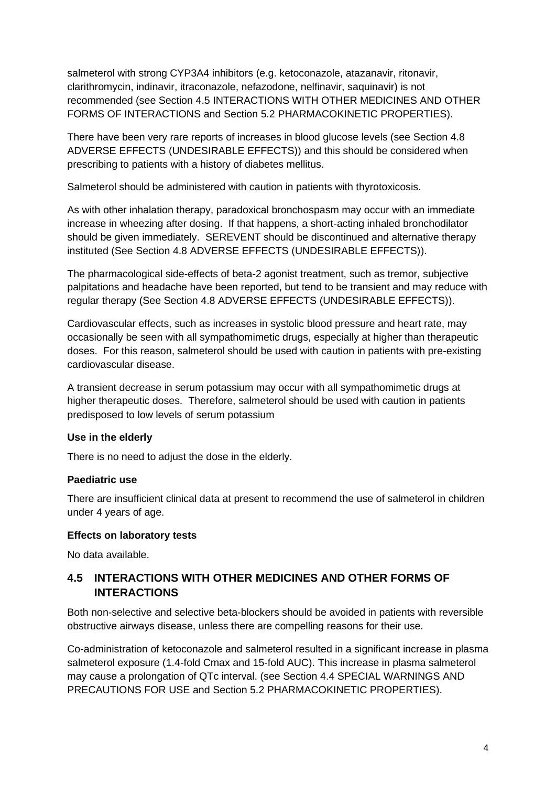salmeterol with strong CYP3A4 inhibitors (e.g. ketoconazole, atazanavir, ritonavir, clarithromycin, indinavir, itraconazole, nefazodone, nelfinavir, saquinavir) is not recommended (see Section 4.5 INTERACTIONS WITH OTHER MEDICINES AND OTHER FORMS OF INTERACTIONS and Section 5.2 PHARMACOKINETIC PROPERTIES).

There have been very rare reports of increases in blood glucose levels (see Section 4.8 ADVERSE EFFECTS (UNDESIRABLE EFFECTS)) and this should be considered when prescribing to patients with a history of diabetes mellitus.

Salmeterol should be administered with caution in patients with thyrotoxicosis.

As with other inhalation therapy, paradoxical bronchospasm may occur with an immediate increase in wheezing after dosing. If that happens, a short-acting inhaled bronchodilator should be given immediately. SEREVENT should be discontinued and alternative therapy instituted (See Section 4.8 ADVERSE EFFECTS (UNDESIRABLE EFFECTS)).

The pharmacological side-effects of beta-2 agonist treatment, such as tremor, subjective palpitations and headache have been reported, but tend to be transient and may reduce with regular therapy (See Section 4.8 ADVERSE EFFECTS (UNDESIRABLE EFFECTS)).

Cardiovascular effects, such as increases in systolic blood pressure and heart rate, may occasionally be seen with all sympathomimetic drugs, especially at higher than therapeutic doses. For this reason, salmeterol should be used with caution in patients with pre-existing cardiovascular disease.

A transient decrease in serum potassium may occur with all sympathomimetic drugs at higher therapeutic doses. Therefore, salmeterol should be used with caution in patients predisposed to low levels of serum potassium

#### **Use in the elderly**

There is no need to adjust the dose in the elderly.

#### **Paediatric use**

There are insufficient clinical data at present to recommend the use of salmeterol in children under 4 years of age.

#### **Effects on laboratory tests**

No data available.

## **4.5 INTERACTIONS WITH OTHER MEDICINES AND OTHER FORMS OF INTERACTIONS**

Both non-selective and selective beta-blockers should be avoided in patients with reversible obstructive airways disease, unless there are compelling reasons for their use.

Co-administration of ketoconazole and salmeterol resulted in a significant increase in plasma salmeterol exposure (1.4-fold Cmax and 15-fold AUC). This increase in plasma salmeterol may cause a prolongation of QTc interval. (see Section 4.4 SPECIAL WARNINGS AND PRECAUTIONS FOR USE and Section 5.2 PHARMACOKINETIC PROPERTIES).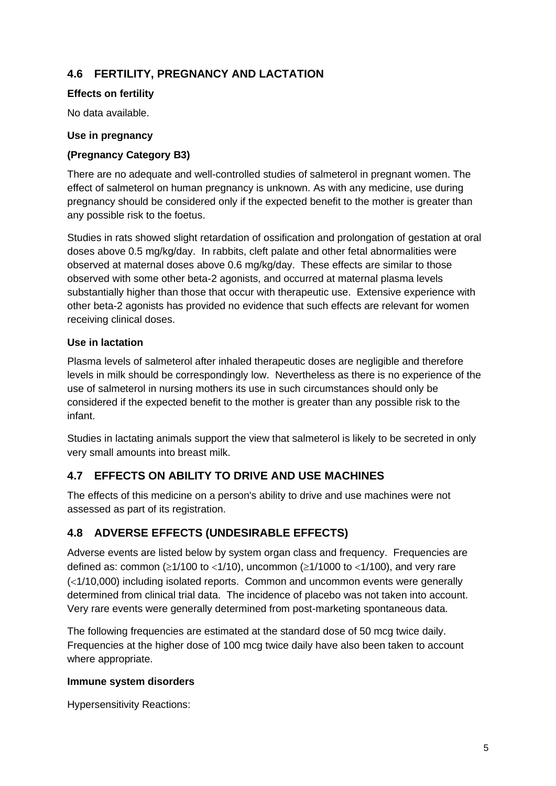## **4.6 FERTILITY, PREGNANCY AND LACTATION**

#### **Effects on fertility**

No data available.

#### **Use in pregnancy**

### **(Pregnancy Category B3)**

There are no adequate and well-controlled studies of salmeterol in pregnant women. The effect of salmeterol on human pregnancy is unknown. As with any medicine, use during pregnancy should be considered only if the expected benefit to the mother is greater than any possible risk to the foetus.

Studies in rats showed slight retardation of ossification and prolongation of gestation at oral doses above 0.5 mg/kg/day. In rabbits, cleft palate and other fetal abnormalities were observed at maternal doses above 0.6 mg/kg/day. These effects are similar to those observed with some other beta-2 agonists, and occurred at maternal plasma levels substantially higher than those that occur with therapeutic use. Extensive experience with other beta-2 agonists has provided no evidence that such effects are relevant for women receiving clinical doses.

### **Use in lactation**

Plasma levels of salmeterol after inhaled therapeutic doses are negligible and therefore levels in milk should be correspondingly low. Nevertheless as there is no experience of the use of salmeterol in nursing mothers its use in such circumstances should only be considered if the expected benefit to the mother is greater than any possible risk to the infant.

Studies in lactating animals support the view that salmeterol is likely to be secreted in only very small amounts into breast milk.

## **4.7 EFFECTS ON ABILITY TO DRIVE AND USE MACHINES**

The effects of this medicine on a person's ability to drive and use machines were not assessed as part of its registration.

## **4.8 ADVERSE EFFECTS (UNDESIRABLE EFFECTS)**

Adverse events are listed below by system organ class and frequency. Frequencies are defined as: common ( $\geq$ 1/100 to <1/10), uncommon ( $\geq$ 1/1000 to <1/100), and very rare  $\left($  <1/10,000) including isolated reports. Common and uncommon events were generally determined from clinical trial data. The incidence of placebo was not taken into account. Very rare events were generally determined from post-marketing spontaneous data.

The following frequencies are estimated at the standard dose of 50 mcg twice daily. Frequencies at the higher dose of 100 mcg twice daily have also been taken to account where appropriate.

#### **Immune system disorders**

Hypersensitivity Reactions: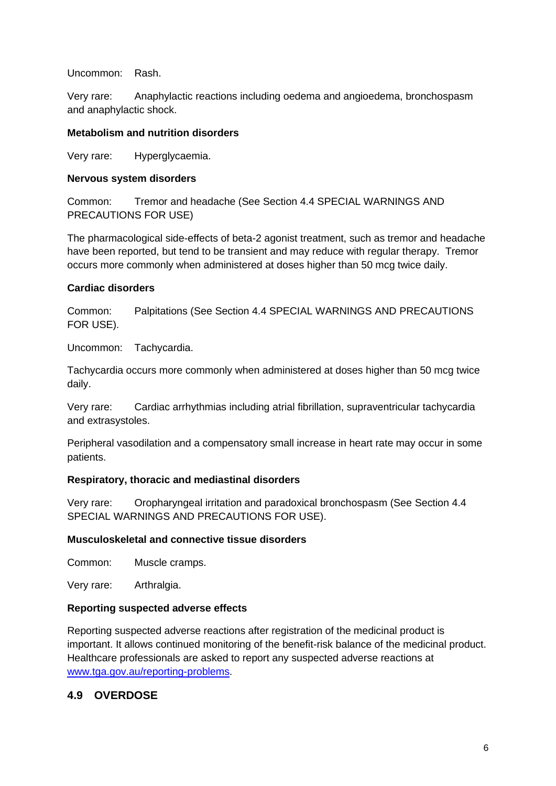Uncommon: Rash.

Very rare: Anaphylactic reactions including oedema and angioedema, bronchospasm and anaphylactic shock.

#### **Metabolism and nutrition disorders**

Very rare: Hyperglycaemia.

#### **Nervous system disorders**

Common: Tremor and headache (See Section 4.4 SPECIAL WARNINGS AND PRECAUTIONS FOR USE)

The pharmacological side-effects of beta-2 agonist treatment, such as tremor and headache have been reported, but tend to be transient and may reduce with regular therapy. Tremor occurs more commonly when administered at doses higher than 50 mcg twice daily.

#### **Cardiac disorders**

Common: Palpitations (See Section 4.4 SPECIAL WARNINGS AND PRECAUTIONS FOR USE).

Uncommon: Tachycardia.

Tachycardia occurs more commonly when administered at doses higher than 50 mcg twice daily.

Very rare: Cardiac arrhythmias including atrial fibrillation, supraventricular tachycardia and extrasystoles.

Peripheral vasodilation and a compensatory small increase in heart rate may occur in some patients.

#### **Respiratory, thoracic and mediastinal disorders**

Very rare: Oropharyngeal irritation and paradoxical bronchospasm (See Section 4.4 SPECIAL WARNINGS AND PRECAUTIONS FOR USE).

#### **Musculoskeletal and connective tissue disorders**

Common: Muscle cramps.

Very rare: Arthralgia.

#### **Reporting suspected adverse effects**

Reporting suspected adverse reactions after registration of the medicinal product is important. It allows continued monitoring of the benefit-risk balance of the medicinal product. Healthcare professionals are asked to report any suspected adverse reactions at [www.tga.gov.au/reporting-problems.](http://www.tga.gov.au/reporting-problems)

#### **4.9 OVERDOSE**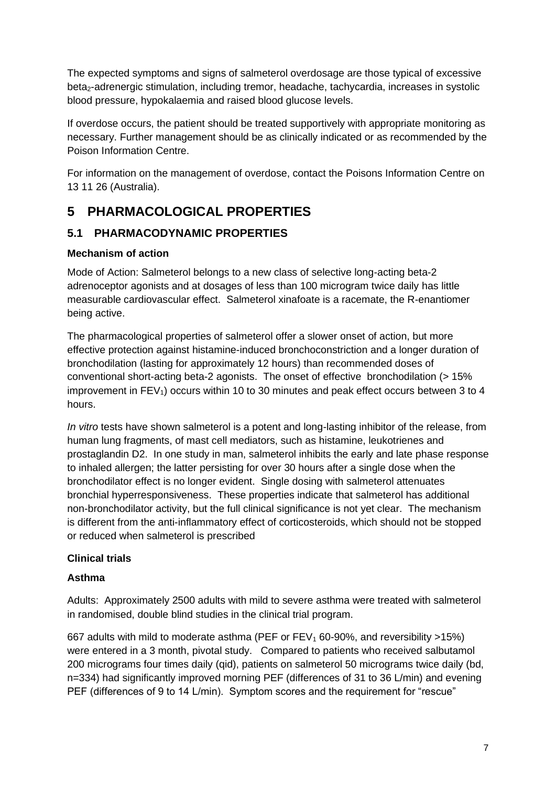The expected symptoms and signs of salmeterol overdosage are those typical of excessive beta<sub>2</sub>-adrenergic stimulation, including tremor, headache, tachycardia, increases in systolic blood pressure, hypokalaemia and raised blood glucose levels.

If overdose occurs, the patient should be treated supportively with appropriate monitoring as necessary. Further management should be as clinically indicated or as recommended by the Poison Information Centre.

For information on the management of overdose, contact the Poisons Information Centre on 13 11 26 (Australia).

# **5 PHARMACOLOGICAL PROPERTIES**

## **5.1 PHARMACODYNAMIC PROPERTIES**

## **Mechanism of action**

Mode of Action: Salmeterol belongs to a new class of selective long-acting beta-2 adrenoceptor agonists and at dosages of less than 100 microgram twice daily has little measurable cardiovascular effect. Salmeterol xinafoate is a racemate, the R-enantiomer being active.

The pharmacological properties of salmeterol offer a slower onset of action, but more effective protection against histamine-induced bronchoconstriction and a longer duration of bronchodilation (lasting for approximately 12 hours) than recommended doses of conventional short-acting beta-2 agonists. The onset of effective bronchodilation (> 15% improvement in  $FEV<sub>1</sub>$ ) occurs within 10 to 30 minutes and peak effect occurs between 3 to 4 hours.

*In vitro* tests have shown salmeterol is a potent and long-lasting inhibitor of the release, from human lung fragments, of mast cell mediators, such as histamine, leukotrienes and prostaglandin D2. In one study in man, salmeterol inhibits the early and late phase response to inhaled allergen; the latter persisting for over 30 hours after a single dose when the bronchodilator effect is no longer evident. Single dosing with salmeterol attenuates bronchial hyperresponsiveness. These properties indicate that salmeterol has additional non-bronchodilator activity, but the full clinical significance is not yet clear. The mechanism is different from the anti-inflammatory effect of corticosteroids, which should not be stopped or reduced when salmeterol is prescribed

## **Clinical trials**

## **Asthma**

Adults: Approximately 2500 adults with mild to severe asthma were treated with salmeterol in randomised, double blind studies in the clinical trial program.

667 adults with mild to moderate asthma (PEF or FEV<sub>1</sub> 60-90%, and reversibility >15%) were entered in a 3 month, pivotal study. Compared to patients who received salbutamol 200 micrograms four times daily (qid), patients on salmeterol 50 micrograms twice daily (bd, n=334) had significantly improved morning PEF (differences of 31 to 36 L/min) and evening PEF (differences of 9 to 14 L/min). Symptom scores and the requirement for "rescue"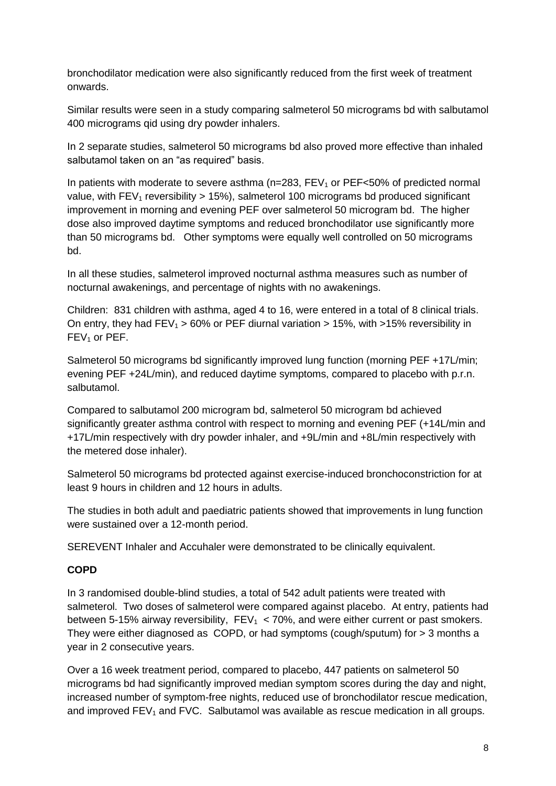bronchodilator medication were also significantly reduced from the first week of treatment onwards.

Similar results were seen in a study comparing salmeterol 50 micrograms bd with salbutamol 400 micrograms qid using dry powder inhalers.

In 2 separate studies, salmeterol 50 micrograms bd also proved more effective than inhaled salbutamol taken on an "as required" basis.

In patients with moderate to severe asthma  $(n=283, FEV<sub>1</sub>$  or PEF $<50\%$  of predicted normal value, with  $FEV_1$  reversibility  $> 15\%$ ), salmeterol 100 micrograms bd produced significant improvement in morning and evening PEF over salmeterol 50 microgram bd. The higher dose also improved daytime symptoms and reduced bronchodilator use significantly more than 50 micrograms bd. Other symptoms were equally well controlled on 50 micrograms bd.

In all these studies, salmeterol improved nocturnal asthma measures such as number of nocturnal awakenings, and percentage of nights with no awakenings.

Children: 831 children with asthma, aged 4 to 16, were entered in a total of 8 clinical trials. On entry, they had  $FEV_1 > 60\%$  or PEF diurnal variation  $> 15\%$ , with  $> 15\%$  reversibility in FEV<sub>1</sub> or PEF.

Salmeterol 50 micrograms bd significantly improved lung function (morning PEF +17L/min; evening PEF +24L/min), and reduced daytime symptoms, compared to placebo with p.r.n. salbutamol.

Compared to salbutamol 200 microgram bd, salmeterol 50 microgram bd achieved significantly greater asthma control with respect to morning and evening PEF (+14L/min and +17L/min respectively with dry powder inhaler, and +9L/min and +8L/min respectively with the metered dose inhaler).

Salmeterol 50 micrograms bd protected against exercise-induced bronchoconstriction for at least 9 hours in children and 12 hours in adults.

The studies in both adult and paediatric patients showed that improvements in lung function were sustained over a 12-month period.

SEREVENT Inhaler and Accuhaler were demonstrated to be clinically equivalent.

#### **COPD**

In 3 randomised double-blind studies, a total of 542 adult patients were treated with salmeterol. Two doses of salmeterol were compared against placebo. At entry, patients had between 5-15% airway reversibility,  $FEV_1 < 70%$ , and were either current or past smokers. They were either diagnosed as COPD, or had symptoms (cough/sputum) for  $>$  3 months a year in 2 consecutive years.

Over a 16 week treatment period, compared to placebo, 447 patients on salmeterol 50 micrograms bd had significantly improved median symptom scores during the day and night, increased number of symptom-free nights, reduced use of bronchodilator rescue medication, and improved  $FEV<sub>1</sub>$  and  $FVC$ . Salbutamol was available as rescue medication in all groups.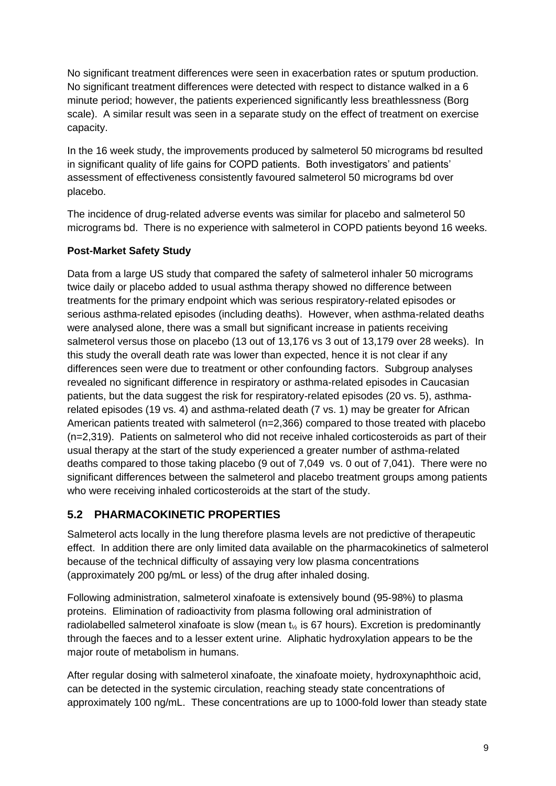No significant treatment differences were seen in exacerbation rates or sputum production. No significant treatment differences were detected with respect to distance walked in a 6 minute period; however, the patients experienced significantly less breathlessness (Borg scale). A similar result was seen in a separate study on the effect of treatment on exercise capacity.

In the 16 week study, the improvements produced by salmeterol 50 micrograms bd resulted in significant quality of life gains for COPD patients. Both investigators' and patients' assessment of effectiveness consistently favoured salmeterol 50 micrograms bd over placebo.

The incidence of drug-related adverse events was similar for placebo and salmeterol 50 micrograms bd. There is no experience with salmeterol in COPD patients beyond 16 weeks.

### **Post-Market Safety Study**

Data from a large US study that compared the safety of salmeterol inhaler 50 micrograms twice daily or placebo added to usual asthma therapy showed no difference between treatments for the primary endpoint which was serious respiratory-related episodes or serious asthma-related episodes (including deaths). However, when asthma-related deaths were analysed alone, there was a small but significant increase in patients receiving salmeterol versus those on placebo (13 out of 13,176 vs 3 out of 13,179 over 28 weeks). In this study the overall death rate was lower than expected, hence it is not clear if any differences seen were due to treatment or other confounding factors. Subgroup analyses revealed no significant difference in respiratory or asthma-related episodes in Caucasian patients, but the data suggest the risk for respiratory-related episodes (20 vs. 5), asthmarelated episodes (19 vs. 4) and asthma-related death (7 vs. 1) may be greater for African American patients treated with salmeterol (n=2,366) compared to those treated with placebo (n=2,319). Patients on salmeterol who did not receive inhaled corticosteroids as part of their usual therapy at the start of the study experienced a greater number of asthma-related deaths compared to those taking placebo (9 out of 7,049 vs. 0 out of 7,041). There were no significant differences between the salmeterol and placebo treatment groups among patients who were receiving inhaled corticosteroids at the start of the study.

## **5.2 PHARMACOKINETIC PROPERTIES**

Salmeterol acts locally in the lung therefore plasma levels are not predictive of therapeutic effect. In addition there are only limited data available on the pharmacokinetics of salmeterol because of the technical difficulty of assaying very low plasma concentrations (approximately 200 pg/mL or less) of the drug after inhaled dosing.

Following administration, salmeterol xinafoate is extensively bound (95-98%) to plasma proteins. Elimination of radioactivity from plasma following oral administration of radiolabelled salmeterol xinafoate is slow (mean  $t_{\gamma}$  is 67 hours). Excretion is predominantly through the faeces and to a lesser extent urine. Aliphatic hydroxylation appears to be the major route of metabolism in humans.

After regular dosing with salmeterol xinafoate, the xinafoate moiety, hydroxynaphthoic acid, can be detected in the systemic circulation, reaching steady state concentrations of approximately 100 ng/mL. These concentrations are up to 1000-fold lower than steady state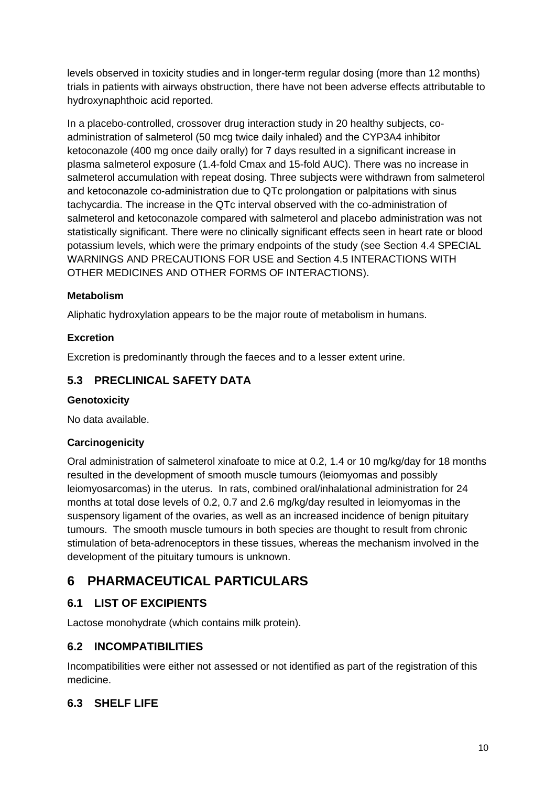levels observed in toxicity studies and in longer-term regular dosing (more than 12 months) trials in patients with airways obstruction, there have not been adverse effects attributable to hydroxynaphthoic acid reported.

In a placebo-controlled, crossover drug interaction study in 20 healthy subjects, coadministration of salmeterol (50 mcg twice daily inhaled) and the CYP3A4 inhibitor ketoconazole (400 mg once daily orally) for 7 days resulted in a significant increase in plasma salmeterol exposure (1.4-fold Cmax and 15-fold AUC). There was no increase in salmeterol accumulation with repeat dosing. Three subjects were withdrawn from salmeterol and ketoconazole co-administration due to QTc prolongation or palpitations with sinus tachycardia. The increase in the QTc interval observed with the co-administration of salmeterol and ketoconazole compared with salmeterol and placebo administration was not statistically significant. There were no clinically significant effects seen in heart rate or blood potassium levels, which were the primary endpoints of the study (see Section 4.4 SPECIAL WARNINGS AND PRECAUTIONS FOR USE and Section 4.5 INTERACTIONS WITH OTHER MEDICINES AND OTHER FORMS OF INTERACTIONS).

## **Metabolism**

Aliphatic hydroxylation appears to be the major route of metabolism in humans.

### **Excretion**

Excretion is predominantly through the faeces and to a lesser extent urine.

## **5.3 PRECLINICAL SAFETY DATA**

#### **Genotoxicity**

No data available.

#### **Carcinogenicity**

Oral administration of salmeterol xinafoate to mice at 0.2, 1.4 or 10 mg/kg/day for 18 months resulted in the development of smooth muscle tumours (leiomyomas and possibly leiomyosarcomas) in the uterus. In rats, combined oral/inhalational administration for 24 months at total dose levels of 0.2, 0.7 and 2.6 mg/kg/day resulted in leiomyomas in the suspensory ligament of the ovaries, as well as an increased incidence of benign pituitary tumours. The smooth muscle tumours in both species are thought to result from chronic stimulation of beta-adrenoceptors in these tissues, whereas the mechanism involved in the development of the pituitary tumours is unknown.

# **6 PHARMACEUTICAL PARTICULARS**

## **6.1 LIST OF EXCIPIENTS**

Lactose monohydrate (which contains milk protein).

## **6.2 INCOMPATIBILITIES**

Incompatibilities were either not assessed or not identified as part of the registration of this medicine.

## **6.3 SHELF LIFE**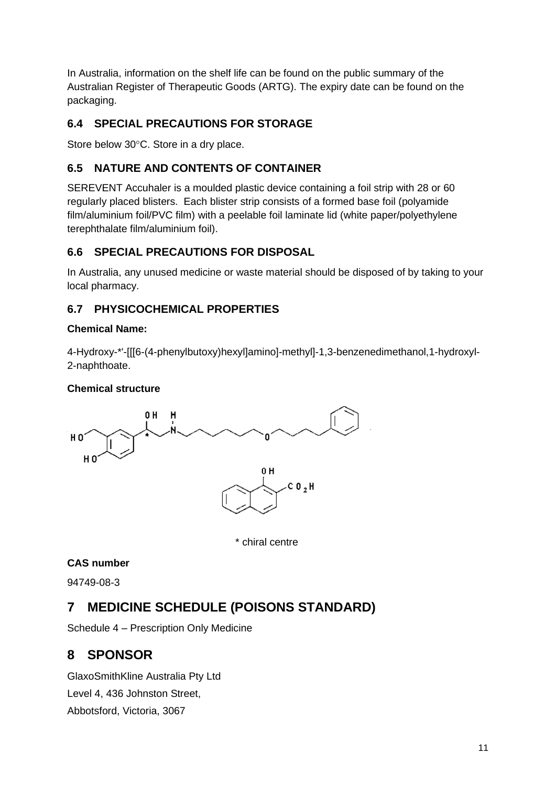In Australia, information on the shelf life can be found on the public summary of the Australian Register of Therapeutic Goods (ARTG). The expiry date can be found on the packaging.

## **6.4 SPECIAL PRECAUTIONS FOR STORAGE**

Store below 30°C. Store in a dry place.

## **6.5 NATURE AND CONTENTS OF CONTAINER**

SEREVENT Accuhaler is a moulded plastic device containing a foil strip with 28 or 60 regularly placed blisters. Each blister strip consists of a formed base foil (polyamide film/aluminium foil/PVC film) with a peelable foil laminate lid (white paper/polyethylene terephthalate film/aluminium foil).

## **6.6 SPECIAL PRECAUTIONS FOR DISPOSAL**

In Australia, any unused medicine or waste material should be disposed of by taking to your local pharmacy.

## **6.7 PHYSICOCHEMICAL PROPERTIES**

### **Chemical Name:**

4-Hydroxy-\*'-[[[6-(4-phenylbutoxy)hexyl]amino]-methyl]-1,3-benzenedimethanol,1-hydroxyl-2-naphthoate.

## **Chemical structure**



\* chiral centre

## **CAS number**

94749-08-3

# **7 MEDICINE SCHEDULE (POISONS STANDARD)**

Schedule 4 – Prescription Only Medicine

# **8 SPONSOR**

GlaxoSmithKline Australia Pty Ltd Level 4, 436 Johnston Street, Abbotsford, Victoria, 3067